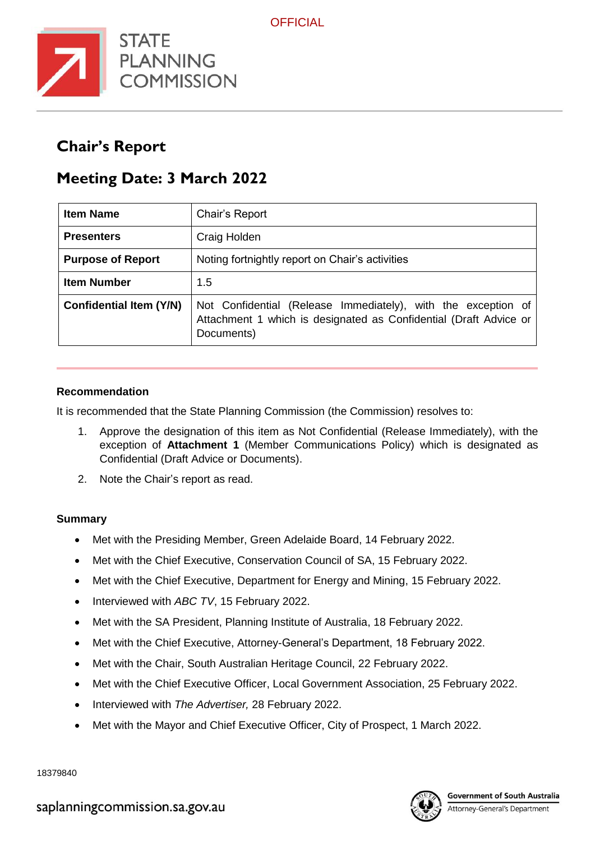

# **Chair's Report**

# **Meeting Date: 3 March 2022**

| <b>Item Name</b>               | Chair's Report                                                                                                                                   |
|--------------------------------|--------------------------------------------------------------------------------------------------------------------------------------------------|
| <b>Presenters</b>              | Craig Holden                                                                                                                                     |
| <b>Purpose of Report</b>       | Noting fortnightly report on Chair's activities                                                                                                  |
| <b>Item Number</b>             | 1.5                                                                                                                                              |
| <b>Confidential Item (Y/N)</b> | Not Confidential (Release Immediately), with the exception of<br>Attachment 1 which is designated as Confidential (Draft Advice or<br>Documents) |

### **Recommendation**

It is recommended that the State Planning Commission (the Commission) resolves to:

- 1. Approve the designation of this item as Not Confidential (Release Immediately), with the exception of **Attachment 1** (Member Communications Policy) which is designated as Confidential (Draft Advice or Documents).
- 2. Note the Chair's report as read.

## **Summary**

- Met with the Presiding Member, Green Adelaide Board, 14 February 2022.
- Met with the Chief Executive, Conservation Council of SA, 15 February 2022.
- Met with the Chief Executive, Department for Energy and Mining, 15 February 2022.
- Interviewed with *ABC TV*, 15 February 2022.
- Met with the SA President, Planning Institute of Australia, 18 February 2022.
- Met with the Chief Executive, Attorney-General's Department, 18 February 2022.
- Met with the Chair, South Australian Heritage Council, 22 February 2022.
- Met with the Chief Executive Officer, Local Government Association, 25 February 2022.
- Interviewed with *The Advertiser,* 28 February 2022.
- Met with the Mayor and Chief Executive Officer, City of Prospect, 1 March 2022.

18379840